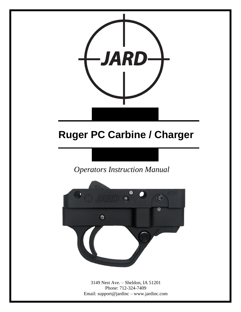

# **Ruger PC Carbine / Charger**

*Operators Instruction Manual* 



3149 Nest Ave. – Sheldon, IA 51201 Phone: 712-324-7409 Email: support@jardinc – www.jardinc.com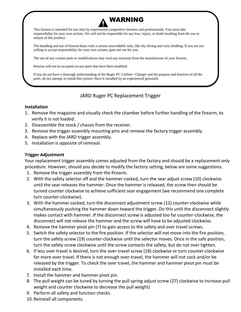## WARNING

This firearm is intended for use only by experienced competitive shooters and professionals. You must take responsibility for your own actions. We will not be responsible for any loss, injury, or death resulting from the use or misuse of this product.

The handling and use of firearm bears with a certain unavoidable risks, like sky diving and rock climbing. If you are not willing to accept responsibility for your own actions, guns are not for you.

The use of any custom parts or modifications may void any warranty from the manufacturer of your firearm.

Returns will not be accepted on any parts that have been modified.

If you do not have a thorough understanding of the Ruger PC Carbine / Charger and the purpose and function of all the parts, do not attempt to install this system. Have it installed by an experienced gunsmith.

#### JARD Ruger PC Replacement Trigger

#### **Installation**

- 1. Remove the magazine and visually check the chamber before further handling of the firearm, to verify it is not loaded.
- 2. Disassemble the stock / chassis from the receiver.
- 3. Remove the trigger assembly mounting pins and remove the factory trigger assembly.
- 4. Replace with the JARD trigger assembly.
- 5. Installation is opposite of removal.

#### **Trigger Adjustment**

Your replacement trigger assembly comes adjusted from the factory and should be a replacement only procedure. However, should you decide to modify the factory setting, below are some suggestions.

- 1. Remove the trigger assembly from the firearm.
- 2. With the safety selector off and the hammer cocked, turn the sear adjust screw (10) clockwise until the sear releases the hammer. Once the hammer is released, the screw then should be turned counter clockwise to achieve sufficient sear engagement (we recommend one complete turn counter-clockwise).
- 3. With the hammer cocked, turn the disconnect adjustment screw (12) counter-clockwise while simultaneously pushing the hammer down toward the trigger. Do this until the disconnect slightly makes contact with hammer. If the disconnect screw is adjusted too far counter-clockwise, the disconnect will not release the hammer and the screw will have to be adjusted clockwise.
- 4. Remove the hammer pivot pin (7) to gain access to the safety and over travel screws.
- 5. Switch the safety selector to the fire position. If the selector will not move into the fire position, turn the safety screw (19) counter-clockwise until the selector moves. Once in the safe position, turn the safety screw clockwise until the screw contacts the safety, but do not over tighten.
- 6. If less over travel is desired, turn the over-travel screw (18) clockwise or turn counter-clockwise for more over travel. If there is not enough over-travel, the hammer will not cock and/or be released by the trigger. To check the over travel, the hammer and hammer pivot pin must be installed each time.
- 7. Install the hammer and hammer pivot pin.
- 8. The pull weight can be tuned by turning the pull spring adjust screw (27) clockwise to increase pull weight and counter clockwise to decrease the pull weight)
- 9. Perform all safety and function checks.
- 10. Reinstall all components.